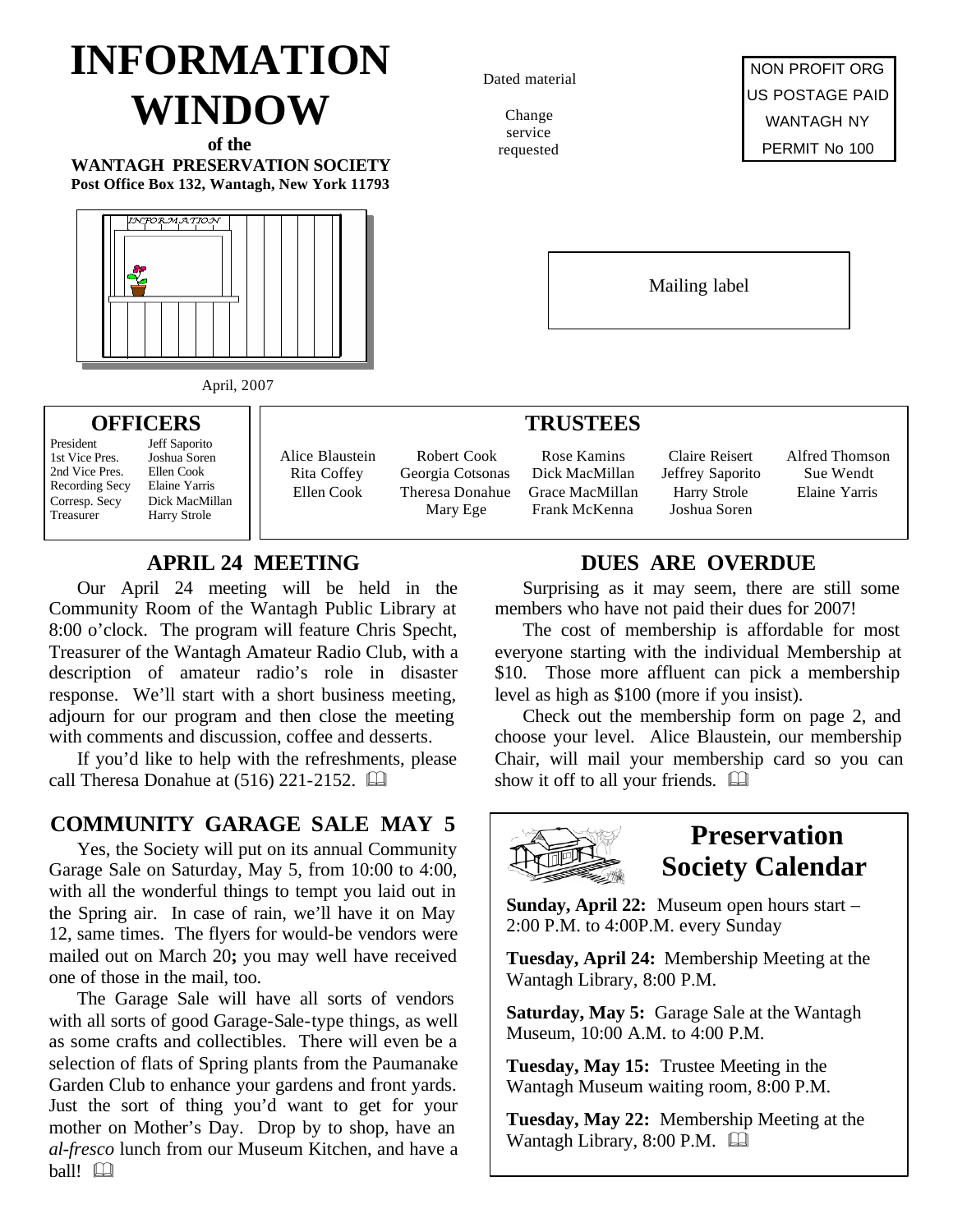# **INFORMATION WINDOW**

**of the WANTAGH PRESERVATION SOCIETY Post Office Box 132, Wantagh, New York 11793**



#### Dated material

Change service requested

NON PROFIT ORG US POSTAGE PAID WANTAGH NY PERMIT No 100

Mailing label

## April, 2007

#### **OFFICERS**

President Jeff Saporito<br>1st Vice Pres Joshua Soren 1st Vice Pres. Joshua Sore<br>2nd Vice Pres. Ellen Cook 2nd Vice Pres. Ellen Cook<br>Recording Secv Elaine Yarris Recording Secy Corresp. Secy Dick MacMillan Treasurer Harry Strole

| Alice Blaustein |
|-----------------|
| Rita Coffey     |
| Ellen Cook      |
|                 |

Robert Cook Georgia Cotsonas Theresa Donahue Mary Ege

Rose Kamins Dick MacMillan Grace MacMillan Frank McKenna

**TRUSTEES**

Claire Reisert Jeffrey Saporito Harry Strole Joshua Soren

Alfred Thomson Sue Wendt Elaine Yarris

#### **APRIL 24 MEETING**

Our April 24 meeting will be held in the Community Room of the Wantagh Public Library at 8:00 o'clock. The program will feature Chris Specht, Treasurer of the Wantagh Amateur Radio Club, with a description of amateur radio's role in disaster response. We'll start with a short business meeting, adjourn for our program and then close the meeting with comments and discussion, coffee and desserts.

If you'd like to help with the refreshments, please call Theresa Donahue at  $(516)$  221-2152.

#### **COMMUNITY GARAGE SALE MAY 5**

Yes, the Society will put on its annual Community Garage Sale on Saturday, May 5, from 10:00 to 4:00, with all the wonderful things to tempt you laid out in the Spring air. In case of rain, we'll have it on May 12, same times. The flyers for would-be vendors were mailed out on March 20**;** you may well have received one of those in the mail, too.

The Garage Sale will have all sorts of vendors with all sorts of good Garage-Sale-type things, as well as some crafts and collectibles. There will even be a selection of flats of Spring plants from the Paumanake Garden Club to enhance your gardens and front yards. Just the sort of thing you'd want to get for your mother on Mother's Day. Drop by to shop, have an *al-fresco* lunch from our Museum Kitchen, and have a  $ball!$ 

#### **DUES ARE OVERDUE**

Surprising as it may seem, there are still some members who have not paid their dues for 2007!

The cost of membership is affordable for most everyone starting with the individual Membership at \$10. Those more affluent can pick a membership level as high as \$100 (more if you insist).

Check out the membership form on page 2, and choose your level. Alice Blaustein, our membership Chair, will mail your membership card so you can show it off to all your friends.  $\square$ 



## **Preservation Society Calendar**

**Sunday, April 22:** Museum open hours start – 2:00 P.M. to 4:00P.M. every Sunday

**Tuesday, April 24:** Membership Meeting at the Wantagh Library, 8:00 P.M.

**Saturday, May 5:** Garage Sale at the Wantagh Museum, 10:00 A.M. to 4:00 P.M.

**Tuesday, May 15:** Trustee Meeting in the Wantagh Museum waiting room, 8:00 P.M.

**Tuesday, May 22:** Membership Meeting at the Wantagh Library, 8:00 P.M.  $\Box$